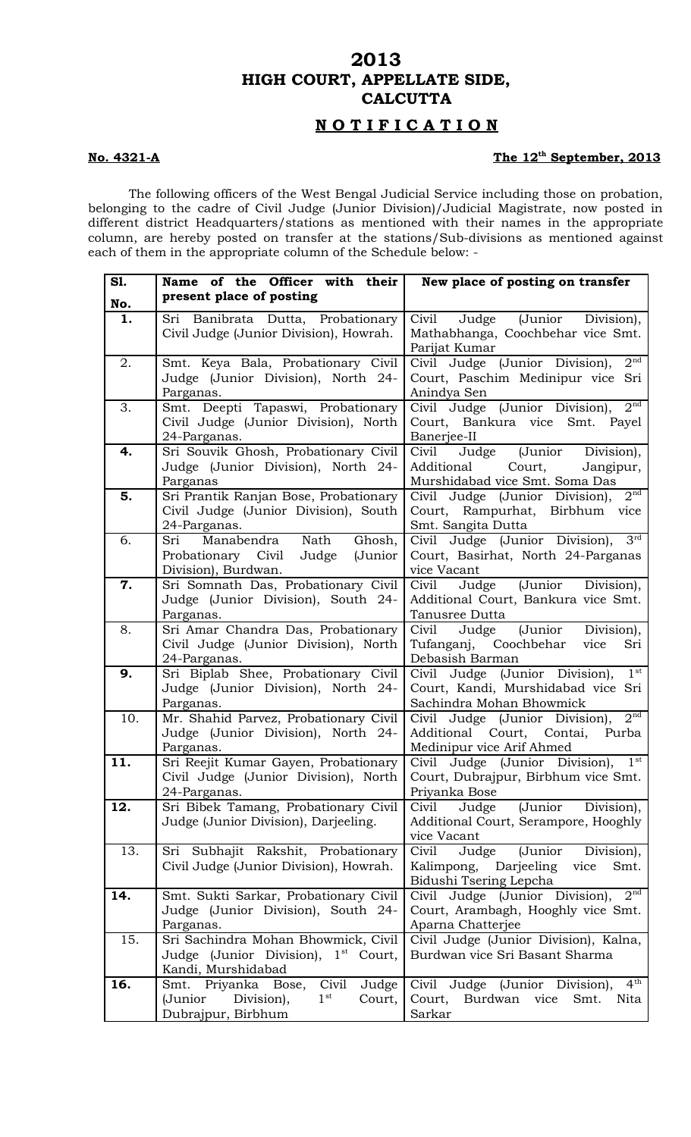## **2013 HIGH COURT, APPELLATE SIDE, CALCUTTA**

## **N O T I F I C A T I O N**

## The 12<sup>th</sup> September, 2013

The following officers of the West Bengal Judicial Service including those on probation, belonging to the cadre of Civil Judge (Junior Division)/Judicial Magistrate, now posted in different district Headquarters/stations as mentioned with their names in the appropriate column, are hereby posted on transfer at the stations/Sub-divisions as mentioned against each of them in the appropriate column of the Schedule below: -

**No. 4321-A** 

| S1. | Name of the Officer with their                                            | New place of posting on transfer                                           |
|-----|---------------------------------------------------------------------------|----------------------------------------------------------------------------|
| No. | present place of posting                                                  |                                                                            |
| 1.  | Sri Banibrata Dutta, Probationary                                         | Civil Judge (Junior Division),                                             |
|     | Civil Judge (Junior Division), Howrah.                                    | Mathabhanga, Coochbehar vice Smt.                                          |
|     |                                                                           | Parijat Kumar                                                              |
| 2.  | Smt. Keya Bala, Probationary Civil                                        | 2 <sup>nd</sup><br>Civil Judge (Junior Division),                          |
|     | Judge (Junior Division), North 24-                                        | Court, Paschim Medinipur vice Sri                                          |
|     | Parganas.                                                                 | Anindya Sen                                                                |
| 3.  | Smt. Deepti Tapaswi, Probationary                                         | 2 <sup>nd</sup><br>Civil Judge (Junior Division),                          |
|     | Civil Judge (Junior Division), North                                      | Court, Bankura vice Smt. Payel                                             |
|     | 24-Parganas.                                                              | Banerjee-II                                                                |
| 4.  | Sri Souvik Ghosh, Probationary Civil                                      | Judge (Junior Division),<br>Civil                                          |
|     | Judge (Junior Division), North 24-                                        | Additional Court,<br>Jangipur,                                             |
|     | Parganas                                                                  | Murshidabad vice Smt. Soma Das                                             |
| 5.  | Sri Prantik Ranjan Bose, Probationary                                     | 2 <sup>nd</sup><br>Civil Judge (Junior Division),                          |
|     | Civil Judge (Junior Division), South                                      | Court, Rampurhat, Birbhum vice                                             |
|     | 24-Parganas.                                                              | Smt. Sangita Dutta                                                         |
| 6.  | Manabendra Nath Ghosh,<br>Sri                                             | Civil Judge (Junior Division), 3rd                                         |
|     | Probationary Civil Judge (Junior                                          | Court, Basirhat, North 24-Parganas                                         |
|     | Division), Burdwan.                                                       | vice Vacant                                                                |
| 7.  | Sri Somnath Das, Probationary Civil                                       | Civil Judge (Junior Division),                                             |
|     | Judge (Junior Division), South 24-                                        | Additional Court, Bankura vice Smt.                                        |
|     | Parganas.                                                                 | Tanusree Dutta                                                             |
| 8.  | Sri Amar Chandra Das, Probationary                                        | Civil<br>Judge (Junior Division),                                          |
|     | Civil Judge (Junior Division), North                                      | Tufanganj, Coochbehar<br>vice<br>Sri                                       |
| 9.  | 24-Parganas.                                                              | Debasish Barman<br>1 <sup>st</sup>                                         |
|     | Sri Biplab Shee, Probationary Civil<br>Judge (Junior Division), North 24- | Civil Judge (Junior Division),<br>Court, Kandi, Murshidabad vice Sri       |
|     | Parganas.                                                                 | Sachindra Mohan Bhowmick                                                   |
| 10. | Mr. Shahid Parvez, Probationary Civil                                     | 2 <sup>nd</sup><br>Civil Judge (Junior Division),                          |
|     | Judge (Junior Division), North 24-                                        | Additional Court, Contai,<br>Purba                                         |
|     | Parganas.                                                                 | Medinipur vice Arif Ahmed                                                  |
| 11. | Sri Reejit Kumar Gayen, Probationary                                      | 1 <sup>st</sup><br>Civil Judge (Junior Division),                          |
|     |                                                                           | Civil Judge (Junior Division), North   Court, Dubrajpur, Birbhum vice Smt. |
|     | 24-Parganas.                                                              | Priyanka Bose                                                              |
| 12. | Sri Bibek Tamang, Probationary Civil                                      | (Junior Division),<br>Civil Judge                                          |
|     | Judge (Junior Division), Darjeeling.                                      | Additional Court, Serampore, Hooghly                                       |
|     |                                                                           | vice Vacant                                                                |
| 13. | Sri Subhajit Rakshit, Probationary                                        | Judge (Junior Division),<br>Civil                                          |
|     | Civil Judge (Junior Division), Howrah.                                    | Kalimpong, Darjeeling vice<br>Smt.                                         |
|     |                                                                           | Bidushi Tsering Lepcha                                                     |
| 14. | Smt. Sukti Sarkar, Probationary Civil                                     | Civil Judge (Junior Division),<br>2 <sup>nd</sup>                          |
|     | Judge (Junior Division), South 24-                                        | Court, Arambagh, Hooghly vice Smt.                                         |
|     | Parganas.                                                                 | Aparna Chatterjee                                                          |
| 15. | Sri Sachindra Mohan Bhowmick, Civil                                       | Civil Judge (Junior Division), Kalna,                                      |
|     | Judge (Junior Division), 1 <sup>st</sup> Court,                           | Burdwan vice Sri Basant Sharma                                             |
|     | Kandi, Murshidabad                                                        |                                                                            |
| 16. | Smt. Priyanka Bose,<br>Civil<br>Judge                                     | 4 <sup>th</sup><br>Civil Judge (Junior Division),                          |
|     | 1 <sup>st</sup><br>(Junior<br>Division),<br>Court,                        | Court,<br>Burdwan vice<br>Nita<br>Smt.                                     |
|     | Dubrajpur, Birbhum                                                        | Sarkar                                                                     |